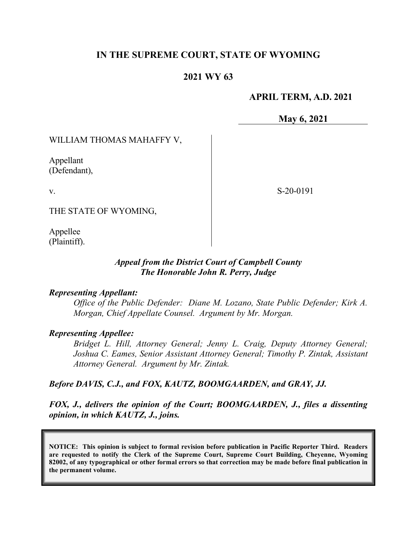# **IN THE SUPREME COURT, STATE OF WYOMING**

## **2021 WY 63**

## **APRIL TERM, A.D. 2021**

**May 6, 2021**

S-20-0191

### WILLIAM THOMAS MAHAFFY V,

Appellant (Defendant),

v.

THE STATE OF WYOMING,

Appellee (Plaintiff).

#### *Appeal from the District Court of Campbell County The Honorable John R. Perry, Judge*

#### *Representing Appellant:*

*Office of the Public Defender: Diane M. Lozano, State Public Defender; Kirk A. Morgan, Chief Appellate Counsel. Argument by Mr. Morgan.*

#### *Representing Appellee:*

*Bridget L. Hill, Attorney General; Jenny L. Craig, Deputy Attorney General; Joshua C. Eames, Senior Assistant Attorney General; Timothy P. Zintak, Assistant Attorney General. Argument by Mr. Zintak.*

#### *Before DAVIS, C.J., and FOX, KAUTZ, BOOMGAARDEN, and GRAY, JJ.*

*FOX, J., delivers the opinion of the Court; BOOMGAARDEN, J., files a dissenting opinion, in which KAUTZ, J., joins.*

**NOTICE: This opinion is subject to formal revision before publication in Pacific Reporter Third. Readers are requested to notify the Clerk of the Supreme Court, Supreme Court Building, Cheyenne, Wyoming 82002, of any typographical or other formal errors so that correction may be made before final publication in the permanent volume.**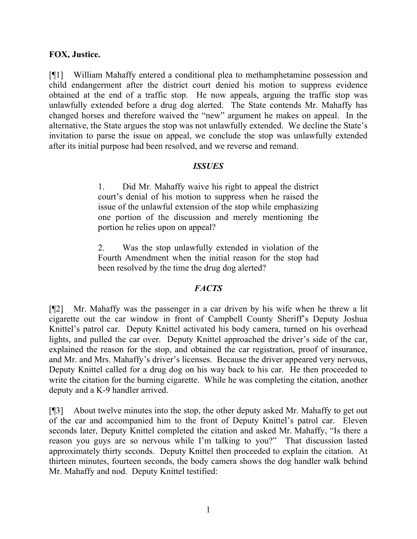### **FOX, Justice.**

[¶1] William Mahaffy entered a conditional plea to methamphetamine possession and child endangerment after the district court denied his motion to suppress evidence obtained at the end of a traffic stop. He now appeals, arguing the traffic stop was unlawfully extended before a drug dog alerted. The State contends Mr. Mahaffy has changed horses and therefore waived the "new" argument he makes on appeal. In the alternative, the State argues the stop was not unlawfully extended. We decline the State's invitation to parse the issue on appeal, we conclude the stop was unlawfully extended after its initial purpose had been resolved, and we reverse and remand.

#### *ISSUES*

1. Did Mr. Mahaffy waive his right to appeal the district court's denial of his motion to suppress when he raised the issue of the unlawful extension of the stop while emphasizing one portion of the discussion and merely mentioning the portion he relies upon on appeal?

2. Was the stop unlawfully extended in violation of the Fourth Amendment when the initial reason for the stop had been resolved by the time the drug dog alerted?

## *FACTS*

[¶2] Mr. Mahaffy was the passenger in a car driven by his wife when he threw a lit cigarette out the car window in front of Campbell County Sheriff's Deputy Joshua Knittel's patrol car. Deputy Knittel activated his body camera, turned on his overhead lights, and pulled the car over. Deputy Knittel approached the driver's side of the car, explained the reason for the stop, and obtained the car registration, proof of insurance, and Mr. and Mrs. Mahaffy's driver's licenses. Because the driver appeared very nervous, Deputy Knittel called for a drug dog on his way back to his car. He then proceeded to write the citation for the burning cigarette. While he was completing the citation, another deputy and a K-9 handler arrived.

[¶3] About twelve minutes into the stop, the other deputy asked Mr. Mahaffy to get out of the car and accompanied him to the front of Deputy Knittel's patrol car. Eleven seconds later, Deputy Knittel completed the citation and asked Mr. Mahaffy, "Is there a reason you guys are so nervous while I'm talking to you?" That discussion lasted approximately thirty seconds. Deputy Knittel then proceeded to explain the citation. At thirteen minutes, fourteen seconds, the body camera shows the dog handler walk behind Mr. Mahaffy and nod. Deputy Knittel testified: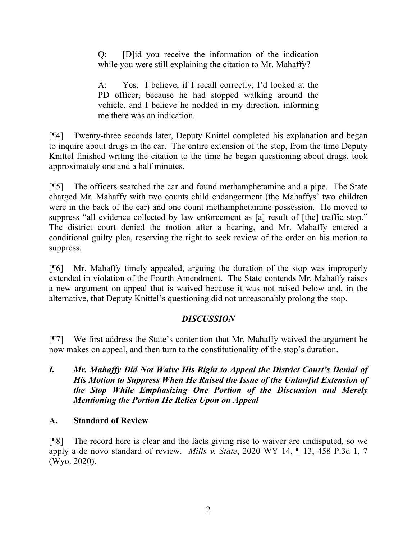Q: [D]id you receive the information of the indication while you were still explaining the citation to Mr. Mahaffy?

A: Yes. I believe, if I recall correctly, I'd looked at the PD officer, because he had stopped walking around the vehicle, and I believe he nodded in my direction, informing me there was an indication.

[¶4] Twenty-three seconds later, Deputy Knittel completed his explanation and began to inquire about drugs in the car. The entire extension of the stop, from the time Deputy Knittel finished writing the citation to the time he began questioning about drugs, took approximately one and a half minutes.

[¶5] The officers searched the car and found methamphetamine and a pipe. The State charged Mr. Mahaffy with two counts child endangerment (the Mahaffys' two children were in the back of the car) and one count methamphetamine possession. He moved to suppress "all evidence collected by law enforcement as [a] result of [the] traffic stop." The district court denied the motion after a hearing, and Mr. Mahaffy entered a conditional guilty plea, reserving the right to seek review of the order on his motion to suppress.

[¶6] Mr. Mahaffy timely appealed, arguing the duration of the stop was improperly extended in violation of the Fourth Amendment. The State contends Mr. Mahaffy raises a new argument on appeal that is waived because it was not raised below and, in the alternative, that Deputy Knittel's questioning did not unreasonably prolong the stop.

## *DISCUSSION*

[¶7] We first address the State's contention that Mr. Mahaffy waived the argument he now makes on appeal, and then turn to the constitutionality of the stop's duration.

*I. Mr. Mahaffy Did Not Waive His Right to Appeal the District Court's Denial of His Motion to Suppress When He Raised the Issue of the Unlawful Extension of the Stop While Emphasizing One Portion of the Discussion and Merely Mentioning the Portion He Relies Upon on Appeal*

# **A. Standard of Review**

[¶8] The record here is clear and the facts giving rise to waiver are undisputed, so we apply a de novo standard of review. *Mills v. State*, 2020 WY 14, ¶ 13, 458 P.3d 1, 7 (Wyo. 2020).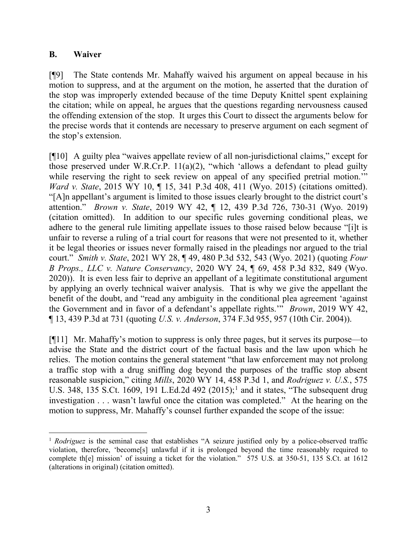### **B. Waiver**

[¶9] The State contends Mr. Mahaffy waived his argument on appeal because in his motion to suppress, and at the argument on the motion, he asserted that the duration of the stop was improperly extended because of the time Deputy Knittel spent explaining the citation; while on appeal, he argues that the questions regarding nervousness caused the offending extension of the stop. It urges this Court to dissect the arguments below for the precise words that it contends are necessary to preserve argument on each segment of the stop's extension.

[¶10] A guilty plea "waives appellate review of all non-jurisdictional claims," except for those preserved under W.R.Cr.P. 11(a)(2), "which 'allows a defendant to plead guilty while reserving the right to seek review on appeal of any specified pretrial motion." *Ward v. State*, 2015 WY 10, ¶ 15, 341 P.3d 408, 411 (Wyo. 2015) (citations omitted). "[A]n appellant's argument is limited to those issues clearly brought to the district court's attention." *Brown v. State*, 2019 WY 42, ¶ 12, 439 P.3d 726, 730-31 (Wyo. 2019) (citation omitted). In addition to our specific rules governing conditional pleas, we adhere to the general rule limiting appellate issues to those raised below because "[i]t is unfair to reverse a ruling of a trial court for reasons that were not presented to it, whether it be legal theories or issues never formally raised in the pleadings nor argued to the trial court." *Smith v. State*, 2021 WY 28, ¶ 49, 480 P.3d 532, 543 (Wyo. 2021) (quoting *Four B Props., LLC v. Nature Conservancy*, 2020 WY 24, ¶ 69, 458 P.3d 832, 849 (Wyo. 2020)). It is even less fair to deprive an appellant of a legitimate constitutional argument by applying an overly technical waiver analysis. That is why we give the appellant the benefit of the doubt, and "read any ambiguity in the conditional plea agreement 'against the Government and in favor of a defendant's appellate rights.'" *Brown*, 2019 WY 42, ¶ 13, 439 P.3d at 731 (quoting *U.S. v. Anderson*, 374 F.3d 955, 957 (10th Cir. 2004)).

[¶11] Mr. Mahaffy's motion to suppress is only three pages, but it serves its purpose—to advise the State and the district court of the factual basis and the law upon which he relies. The motion contains the general statement "that law enforcement may not prolong a traffic stop with a drug sniffing dog beyond the purposes of the traffic stop absent reasonable suspicion," citing *Mills*, 2020 WY 14, 458 P.3d 1, and *Rodriguez v. U.S.*, 575 U.S. 348, [1](#page-3-0)35 S.Ct. 1609, 191 L.Ed.2d 492 (2015);<sup>1</sup> and it states, "The subsequent drug investigation . . . wasn't lawful once the citation was completed." At the hearing on the motion to suppress, Mr. Mahaffy's counsel further expanded the scope of the issue:

<span id="page-3-0"></span><sup>&</sup>lt;sup>1</sup> *Rodriguez* is the seminal case that establishes "A seizure justified only by a police-observed traffic violation, therefore, 'become[s] unlawful if it is prolonged beyond the time reasonably required to complete th[e] mission' of issuing a ticket for the violation." 575 U.S. at 350-51, 135 S.Ct. at 1612 (alterations in original) (citation omitted).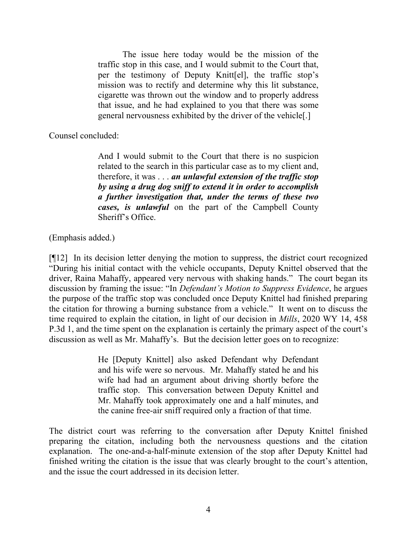The issue here today would be the mission of the traffic stop in this case, and I would submit to the Court that, per the testimony of Deputy Knitt[el], the traffic stop's mission was to rectify and determine why this lit substance, cigarette was thrown out the window and to properly address that issue, and he had explained to you that there was some general nervousness exhibited by the driver of the vehicle[.]

Counsel concluded:

And I would submit to the Court that there is no suspicion related to the search in this particular case as to my client and, therefore, it was . . . *an unlawful extension of the traffic stop by using a drug dog sniff to extend it in order to accomplish a further investigation that, under the terms of these two cases, is unlawful* on the part of the Campbell County Sheriff's Office.

(Emphasis added.)

[¶12] In its decision letter denying the motion to suppress, the district court recognized "During his initial contact with the vehicle occupants, Deputy Knittel observed that the driver, Raina Mahaffy, appeared very nervous with shaking hands." The court began its discussion by framing the issue: "In *Defendant's Motion to Suppress Evidence*, he argues the purpose of the traffic stop was concluded once Deputy Knittel had finished preparing the citation for throwing a burning substance from a vehicle." It went on to discuss the time required to explain the citation, in light of our decision in *Mills*, 2020 WY 14, 458 P.3d 1, and the time spent on the explanation is certainly the primary aspect of the court's discussion as well as Mr. Mahaffy's. But the decision letter goes on to recognize:

> He [Deputy Knittel] also asked Defendant why Defendant and his wife were so nervous. Mr. Mahaffy stated he and his wife had had an argument about driving shortly before the traffic stop. This conversation between Deputy Knittel and Mr. Mahaffy took approximately one and a half minutes, and the canine free-air sniff required only a fraction of that time.

The district court was referring to the conversation after Deputy Knittel finished preparing the citation, including both the nervousness questions and the citation explanation. The one-and-a-half-minute extension of the stop after Deputy Knittel had finished writing the citation is the issue that was clearly brought to the court's attention, and the issue the court addressed in its decision letter.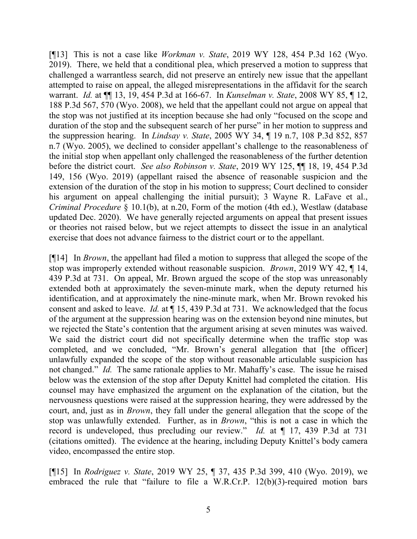[¶13] This is not a case like *Workman v. State*, 2019 WY 128, 454 P.3d 162 (Wyo. 2019). There, we held that a conditional plea, which preserved a motion to suppress that challenged a warrantless search, did not preserve an entirely new issue that the appellant attempted to raise on appeal, the alleged misrepresentations in the affidavit for the search warrant. *Id.* at ¶¶ 13, 19, 454 P.3d at 166-67. In *Kunselman v. State*, 2008 WY 85, ¶ 12, 188 P.3d 567, 570 (Wyo. 2008), we held that the appellant could not argue on appeal that the stop was not justified at its inception because she had only "focused on the scope and duration of the stop and the subsequent search of her purse" in her motion to suppress and the suppression hearing. In *Lindsay v. State*, 2005 WY 34, ¶ 19 n.7, 108 P.3d 852, 857 n.7 (Wyo. 2005), we declined to consider appellant's challenge to the reasonableness of the initial stop when appellant only challenged the reasonableness of the further detention before the district court. *See also Robinson v. State*, 2019 WY 125, ¶¶ 18, 19, 454 P.3d 149, 156 (Wyo. 2019) (appellant raised the absence of reasonable suspicion and the extension of the duration of the stop in his motion to suppress; Court declined to consider his argument on appeal challenging the initial pursuit); 3 Wayne R. LaFave et al., *Criminal Procedure* § 10.1(b), at n.20, Form of the motion (4th ed.), Westlaw (database updated Dec. 2020). We have generally rejected arguments on appeal that present issues or theories not raised below, but we reject attempts to dissect the issue in an analytical exercise that does not advance fairness to the district court or to the appellant.

[¶14] In *Brown*, the appellant had filed a motion to suppress that alleged the scope of the stop was improperly extended without reasonable suspicion. *Brown*, 2019 WY 42, ¶ 14, 439 P.3d at 731. On appeal, Mr. Brown argued the scope of the stop was unreasonably extended both at approximately the seven-minute mark, when the deputy returned his identification, and at approximately the nine-minute mark, when Mr. Brown revoked his consent and asked to leave. *Id.* at ¶ 15, 439 P.3d at 731. We acknowledged that the focus of the argument at the suppression hearing was on the extension beyond nine minutes, but we rejected the State's contention that the argument arising at seven minutes was waived. We said the district court did not specifically determine when the traffic stop was completed, and we concluded, "Mr. Brown's general allegation that [the officer] unlawfully expanded the scope of the stop without reasonable articulable suspicion has not changed." *Id.* The same rationale applies to Mr. Mahaffy's case. The issue he raised below was the extension of the stop after Deputy Knittel had completed the citation. His counsel may have emphasized the argument on the explanation of the citation, but the nervousness questions were raised at the suppression hearing, they were addressed by the court, and, just as in *Brown*, they fall under the general allegation that the scope of the stop was unlawfully extended. Further, as in *Brown*, "this is not a case in which the record is undeveloped, thus precluding our review." *Id.* at ¶ 17, 439 P.3d at 731 (citations omitted). The evidence at the hearing, including Deputy Knittel's body camera video, encompassed the entire stop.

[¶15] In *Rodriguez v. State*, 2019 WY 25, ¶ 37, 435 P.3d 399, 410 (Wyo. 2019), we embraced the rule that "failure to file a W.R.Cr.P. 12(b)(3)-required motion bars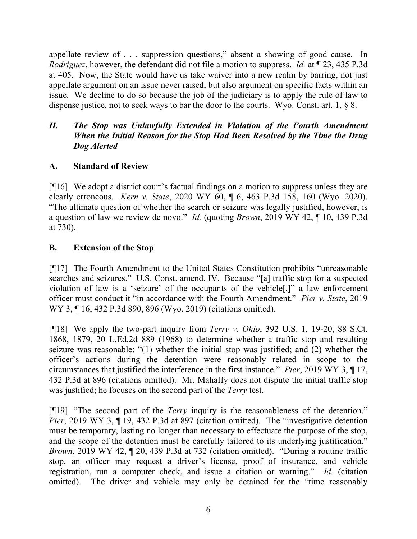appellate review of . . . suppression questions," absent a showing of good cause. In *Rodriguez*, however, the defendant did not file a motion to suppress. *Id.* at ¶ 23, 435 P.3d at 405. Now, the State would have us take waiver into a new realm by barring, not just appellate argument on an issue never raised, but also argument on specific facts within an issue. We decline to do so because the job of the judiciary is to apply the rule of law to dispense justice, not to seek ways to bar the door to the courts. Wyo. Const. art. 1, § 8.

# *II. The Stop was Unlawfully Extended in Violation of the Fourth Amendment When the Initial Reason for the Stop Had Been Resolved by the Time the Drug Dog Alerted*

# **A. Standard of Review**

[¶16] We adopt a district court's factual findings on a motion to suppress unless they are clearly erroneous. *Kern v. State*, 2020 WY 60, ¶ 6, 463 P.3d 158, 160 (Wyo. 2020). "The ultimate question of whether the search or seizure was legally justified, however, is a question of law we review de novo." *Id.* (quoting *Brown*, 2019 WY 42, ¶ 10, 439 P.3d at 730).

## **B. Extension of the Stop**

[¶17] The Fourth Amendment to the United States Constitution prohibits "unreasonable searches and seizures." U.S. Const. amend. IV. Because "[a] traffic stop for a suspected violation of law is a 'seizure' of the occupants of the vehicle[,]" a law enforcement officer must conduct it "in accordance with the Fourth Amendment." *Pier v. State*, 2019 WY 3, ¶ 16, 432 P.3d 890, 896 (Wyo. 2019) (citations omitted).

[¶18] We apply the two-part inquiry from *Terry v. Ohio*, 392 U.S. 1, 19-20, 88 S.Ct. 1868, 1879, 20 L.Ed.2d 889 (1968) to determine whether a traffic stop and resulting seizure was reasonable: "(1) whether the initial stop was justified; and (2) whether the officer's actions during the detention were reasonably related in scope to the circumstances that justified the interference in the first instance." *Pier*, 2019 WY 3, ¶ 17, 432 P.3d at 896 (citations omitted). Mr. Mahaffy does not dispute the initial traffic stop was justified; he focuses on the second part of the *Terry* test.

[¶19] "The second part of the *Terry* inquiry is the reasonableness of the detention." *Pier*, 2019 WY 3, ¶ 19, 432 P.3d at 897 (citation omitted). The "investigative detention must be temporary, lasting no longer than necessary to effectuate the purpose of the stop, and the scope of the detention must be carefully tailored to its underlying justification." *Brown*, 2019 WY 42,  $\parallel$  20, 439 P.3d at 732 (citation omitted). "During a routine traffic stop, an officer may request a driver's license, proof of insurance, and vehicle registration, run a computer check, and issue a citation or warning." *Id.* (citation omitted). The driver and vehicle may only be detained for the "time reasonably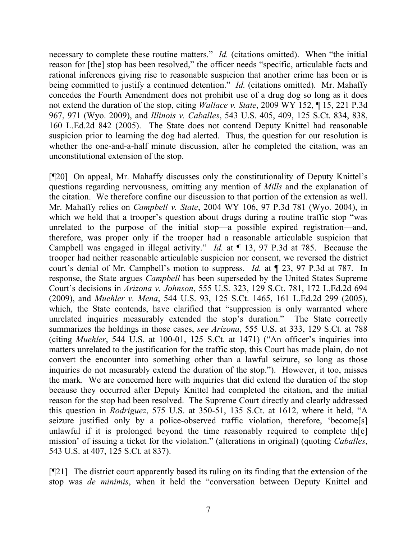necessary to complete these routine matters." *Id.* (citations omitted). When "the initial reason for [the] stop has been resolved," the officer needs "specific, articulable facts and rational inferences giving rise to reasonable suspicion that another crime has been or is being committed to justify a continued detention." *Id.* (citations omitted). Mr. Mahaffy concedes the Fourth Amendment does not prohibit use of a drug dog so long as it does not extend the duration of the stop, citing *Wallace v. State*, 2009 WY 152, ¶ 15, 221 P.3d 967, 971 (Wyo. 2009), and *Illinois v. Caballes*, 543 U.S. 405, 409, 125 S.Ct. 834, 838, 160 L.Ed.2d 842 (2005). The State does not contend Deputy Knittel had reasonable suspicion prior to learning the dog had alerted. Thus, the question for our resolution is whether the one-and-a-half minute discussion, after he completed the citation, was an unconstitutional extension of the stop.

[¶20] On appeal, Mr. Mahaffy discusses only the constitutionality of Deputy Knittel's questions regarding nervousness, omitting any mention of *Mills* and the explanation of the citation. We therefore confine our discussion to that portion of the extension as well. Mr. Mahaffy relies on *Campbell v. State*, 2004 WY 106, 97 P.3d 781 (Wyo. 2004), in which we held that a trooper's question about drugs during a routine traffic stop "was unrelated to the purpose of the initial stop—a possible expired registration—and, therefore, was proper only if the trooper had a reasonable articulable suspicion that Campbell was engaged in illegal activity." *Id.* at ¶ 13, 97 P.3d at 785. Because the trooper had neither reasonable articulable suspicion nor consent, we reversed the district court's denial of Mr. Campbell's motion to suppress. *Id.* at ¶ 23, 97 P.3d at 787. In response, the State argues *Campbell* has been superseded by the United States Supreme Court's decisions in *Arizona v. Johnson*, 555 U.S. 323, 129 S.Ct. 781, 172 L.Ed.2d 694 (2009), and *Muehler v. Mena*, 544 U.S. 93, 125 S.Ct. 1465, 161 L.Ed.2d 299 (2005), which, the State contends, have clarified that "suppression is only warranted where unrelated inquiries measurably extended the stop's duration." The State correctly summarizes the holdings in those cases, *see Arizona*, 555 U.S. at 333, 129 S.Ct. at 788 (citing *Muehler*, 544 U.S. at 100-01, 125 S.Ct. at 1471) ("An officer's inquiries into matters unrelated to the justification for the traffic stop, this Court has made plain, do not convert the encounter into something other than a lawful seizure, so long as those inquiries do not measurably extend the duration of the stop."). However, it too, misses the mark. We are concerned here with inquiries that did extend the duration of the stop because they occurred after Deputy Knittel had completed the citation, and the initial reason for the stop had been resolved. The Supreme Court directly and clearly addressed this question in *Rodriguez*, 575 U.S. at 350-51, 135 S.Ct. at 1612, where it held, "A seizure justified only by a police-observed traffic violation, therefore, 'become[s] unlawful if it is prolonged beyond the time reasonably required to complete th[e] mission' of issuing a ticket for the violation." (alterations in original) (quoting *Caballes*, 543 U.S. at 407, 125 S.Ct. at 837).

[¶21] The district court apparently based its ruling on its finding that the extension of the stop was *de minimis*, when it held the "conversation between Deputy Knittel and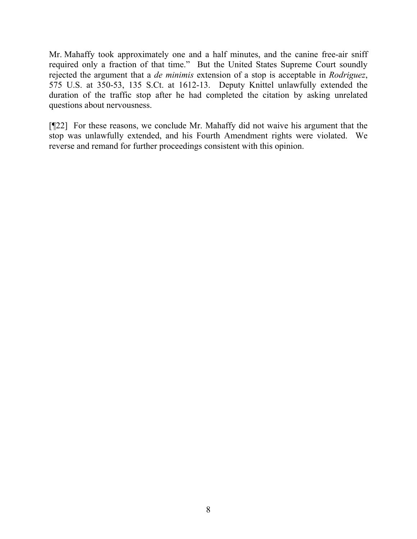Mr. Mahaffy took approximately one and a half minutes, and the canine free-air sniff required only a fraction of that time." But the United States Supreme Court soundly rejected the argument that a *de minimis* extension of a stop is acceptable in *Rodriguez*, 575 U.S. at 350-53, 135 S.Ct. at 1612-13. Deputy Knittel unlawfully extended the duration of the traffic stop after he had completed the citation by asking unrelated questions about nervousness.

[¶22] For these reasons, we conclude Mr. Mahaffy did not waive his argument that the stop was unlawfully extended, and his Fourth Amendment rights were violated. We reverse and remand for further proceedings consistent with this opinion.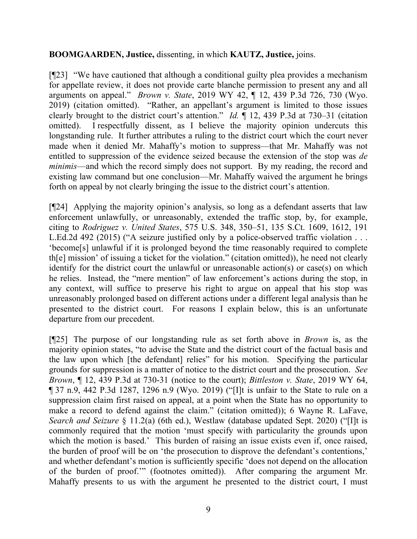## **BOOMGAARDEN, Justice,** dissenting, in which **KAUTZ, Justice,** joins.

[¶23] "We have cautioned that although a conditional guilty plea provides a mechanism for appellate review, it does not provide carte blanche permission to present any and all arguments on appeal." *Brown v. State*, 2019 WY 42, ¶ 12, 439 P.3d 726, 730 (Wyo. 2019) (citation omitted). "Rather, an appellant's argument is limited to those issues clearly brought to the district court's attention." *Id.* ¶ 12, 439 P.3d at 730–31 (citation omitted). I respectfully dissent, as I believe the majority opinion undercuts this longstanding rule. It further attributes a ruling to the district court which the court never made when it denied Mr. Mahaffy's motion to suppress—that Mr. Mahaffy was not entitled to suppression of the evidence seized because the extension of the stop was *de minimis*—and which the record simply does not support. By my reading, the record and existing law command but one conclusion—Mr. Mahaffy waived the argument he brings forth on appeal by not clearly bringing the issue to the district court's attention.

[¶24] Applying the majority opinion's analysis, so long as a defendant asserts that law enforcement unlawfully, or unreasonably, extended the traffic stop, by, for example, citing to *Rodriguez v. United States*, 575 U.S. 348, 350–51, 135 S.Ct. 1609, 1612, 191 L.Ed.2d 492 (2015) ("A seizure justified only by a police-observed traffic violation . . . 'become[s] unlawful if it is prolonged beyond the time reasonably required to complete th[e] mission' of issuing a ticket for the violation." (citation omitted)), he need not clearly identify for the district court the unlawful or unreasonable action(s) or case(s) on which he relies. Instead, the "mere mention" of law enforcement's actions during the stop, in any context, will suffice to preserve his right to argue on appeal that his stop was unreasonably prolonged based on different actions under a different legal analysis than he presented to the district court. For reasons I explain below, this is an unfortunate departure from our precedent.

[¶25] The purpose of our longstanding rule as set forth above in *Brown* is, as the majority opinion states, "to advise the State and the district court of the factual basis and the law upon which [the defendant] relies" for his motion. Specifying the particular grounds for suppression is a matter of notice to the district court and the prosecution. *See Brown*, ¶ 12, 439 P.3d at 730-31 (notice to the court); *Bittleston v. State*, 2019 WY 64, ¶ 37 n.9, 442 P.3d 1287, 1296 n.9 (Wyo. 2019) ("[I]t is unfair to the State to rule on a suppression claim first raised on appeal, at a point when the State has no opportunity to make a record to defend against the claim." (citation omitted)); 6 Wayne R. LaFave, *Search and Seizure* § 11.2(a) (6th ed.), Westlaw (database updated Sept. 2020) ("[I]t is commonly required that the motion 'must specify with particularity the grounds upon which the motion is based.' This burden of raising an issue exists even if, once raised, the burden of proof will be on 'the prosecution to disprove the defendant's contentions,' and whether defendant's motion is sufficiently specific 'does not depend on the allocation of the burden of proof.'" (footnotes omitted)). After comparing the argument Mr. Mahaffy presents to us with the argument he presented to the district court, I must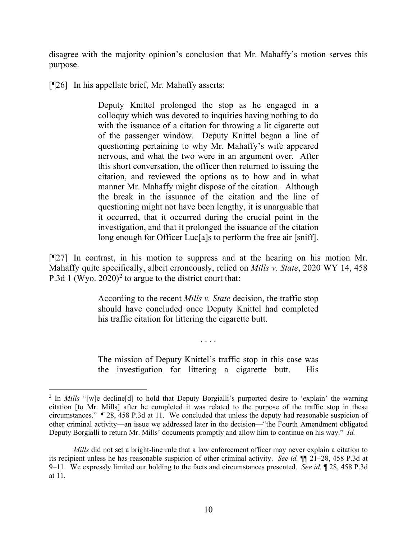disagree with the majority opinion's conclusion that Mr. Mahaffy's motion serves this purpose.

[¶26] In his appellate brief, Mr. Mahaffy asserts:

Deputy Knittel prolonged the stop as he engaged in a colloquy which was devoted to inquiries having nothing to do with the issuance of a citation for throwing a lit cigarette out of the passenger window. Deputy Knittel began a line of questioning pertaining to why Mr. Mahaffy's wife appeared nervous, and what the two were in an argument over. After this short conversation, the officer then returned to issuing the citation, and reviewed the options as to how and in what manner Mr. Mahaffy might dispose of the citation. Although the break in the issuance of the citation and the line of questioning might not have been lengthy, it is unarguable that it occurred, that it occurred during the crucial point in the investigation, and that it prolonged the issuance of the citation long enough for Officer Luc<sup>[a]</sup>s to perform the free air [sniff].

[¶27] In contrast, in his motion to suppress and at the hearing on his motion Mr. Mahaffy quite specifically, albeit erroneously, relied on *Mills v. State*, 2020 WY 14, 458 P.3d 1 (Wyo. [2](#page-10-0)020)<sup>2</sup> to argue to the district court that:

> According to the recent *Mills v. State* decision, the traffic stop should have concluded once Deputy Knittel had completed his traffic citation for littering the cigarette butt.

> The mission of Deputy Knittel's traffic stop in this case was the investigation for littering a cigarette butt. His

. . . .

<span id="page-10-0"></span><sup>&</sup>lt;sup>2</sup> In *Mills* "[w]e decline[d] to hold that Deputy Borgialli's purported desire to 'explain' the warning citation [to Mr. Mills] after he completed it was related to the purpose of the traffic stop in these circumstances." ¶ 28, 458 P.3d at 11. We concluded that unless the deputy had reasonable suspicion of other criminal activity—an issue we addressed later in the decision—"the Fourth Amendment obligated Deputy Borgialli to return Mr. Mills' documents promptly and allow him to continue on his way." *Id.*

*Mills* did not set a bright-line rule that a law enforcement officer may never explain a citation to its recipient unless he has reasonable suspicion of other criminal activity. *See id.* ¶¶ 21–28, 458 P.3d at 9–11. We expressly limited our holding to the facts and circumstances presented. *See id.* ¶ 28, 458 P.3d at 11.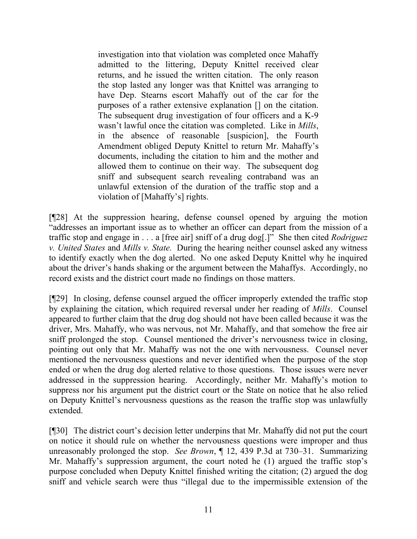investigation into that violation was completed once Mahaffy admitted to the littering, Deputy Knittel received clear returns, and he issued the written citation. The only reason the stop lasted any longer was that Knittel was arranging to have Dep. Stearns escort Mahaffy out of the car for the purposes of a rather extensive explanation [] on the citation. The subsequent drug investigation of four officers and a K-9 wasn't lawful once the citation was completed. Like in *Mills*, in the absence of reasonable [suspicion], the Fourth Amendment obliged Deputy Knittel to return Mr. Mahaffy's documents, including the citation to him and the mother and allowed them to continue on their way. The subsequent dog sniff and subsequent search revealing contraband was an unlawful extension of the duration of the traffic stop and a violation of [Mahaffy's] rights.

[¶28] At the suppression hearing, defense counsel opened by arguing the motion "addresses an important issue as to whether an officer can depart from the mission of a traffic stop and engage in . . . a [free air] sniff of a drug dog[.]" She then cited *Rodriguez v. United States* and *Mills v. State.* During the hearing neither counsel asked any witness to identify exactly when the dog alerted. No one asked Deputy Knittel why he inquired about the driver's hands shaking or the argument between the Mahaffys. Accordingly, no record exists and the district court made no findings on those matters.

[¶29] In closing, defense counsel argued the officer improperly extended the traffic stop by explaining the citation, which required reversal under her reading of *Mills*. Counsel appeared to further claim that the drug dog should not have been called because it was the driver, Mrs. Mahaffy, who was nervous, not Mr. Mahaffy, and that somehow the free air sniff prolonged the stop. Counsel mentioned the driver's nervousness twice in closing, pointing out only that Mr. Mahaffy was not the one with nervousness. Counsel never mentioned the nervousness questions and never identified when the purpose of the stop ended or when the drug dog alerted relative to those questions. Those issues were never addressed in the suppression hearing. Accordingly, neither Mr. Mahaffy's motion to suppress nor his argument put the district court or the State on notice that he also relied on Deputy Knittel's nervousness questions as the reason the traffic stop was unlawfully extended.

[¶30] The district court's decision letter underpins that Mr. Mahaffy did not put the court on notice it should rule on whether the nervousness questions were improper and thus unreasonably prolonged the stop. *See Brown*, ¶ 12, 439 P.3d at 730–31. Summarizing Mr. Mahaffy's suppression argument, the court noted he (1) argued the traffic stop's purpose concluded when Deputy Knittel finished writing the citation; (2) argued the dog sniff and vehicle search were thus "illegal due to the impermissible extension of the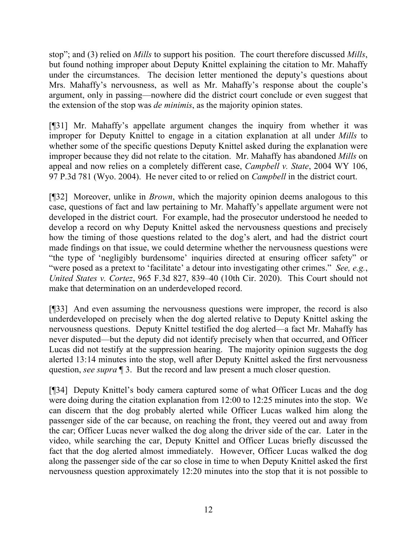stop"; and (3) relied on *Mills* to support his position. The court therefore discussed *Mills*, but found nothing improper about Deputy Knittel explaining the citation to Mr. Mahaffy under the circumstances. The decision letter mentioned the deputy's questions about Mrs. Mahaffy's nervousness, as well as Mr. Mahaffy's response about the couple's argument, only in passing—nowhere did the district court conclude or even suggest that the extension of the stop was *de minimis*, as the majority opinion states.

[¶31] Mr. Mahaffy's appellate argument changes the inquiry from whether it was improper for Deputy Knittel to engage in a citation explanation at all under *Mills* to whether some of the specific questions Deputy Knittel asked during the explanation were improper because they did not relate to the citation. Mr. Mahaffy has abandoned *Mills* on appeal and now relies on a completely different case, *Campbell v. State*, 2004 WY 106, 97 P.3d 781 (Wyo. 2004). He never cited to or relied on *Campbell* in the district court.

[¶32] Moreover, unlike in *Brown*, which the majority opinion deems analogous to this case, questions of fact and law pertaining to Mr. Mahaffy's appellate argument were not developed in the district court. For example, had the prosecutor understood he needed to develop a record on why Deputy Knittel asked the nervousness questions and precisely how the timing of those questions related to the dog's alert, and had the district court made findings on that issue, we could determine whether the nervousness questions were "the type of 'negligibly burdensome' inquiries directed at ensuring officer safety" or "were posed as a pretext to 'facilitate' a detour into investigating other crimes." *See, e.g.*, *United States v. Cortez*, 965 F.3d 827, 839–40 (10th Cir. 2020). This Court should not make that determination on an underdeveloped record.

[¶33] And even assuming the nervousness questions were improper, the record is also underdeveloped on precisely when the dog alerted relative to Deputy Knittel asking the nervousness questions. Deputy Knittel testified the dog alerted—a fact Mr. Mahaffy has never disputed—but the deputy did not identify precisely when that occurred, and Officer Lucas did not testify at the suppression hearing. The majority opinion suggests the dog alerted 13:14 minutes into the stop, well after Deputy Knittel asked the first nervousness question, *see supra* ¶ 3. But the record and law present a much closer question.

[¶34] Deputy Knittel's body camera captured some of what Officer Lucas and the dog were doing during the citation explanation from 12:00 to 12:25 minutes into the stop. We can discern that the dog probably alerted while Officer Lucas walked him along the passenger side of the car because, on reaching the front, they veered out and away from the car; Officer Lucas never walked the dog along the driver side of the car. Later in the video, while searching the car, Deputy Knittel and Officer Lucas briefly discussed the fact that the dog alerted almost immediately. However, Officer Lucas walked the dog along the passenger side of the car so close in time to when Deputy Knittel asked the first nervousness question approximately 12:20 minutes into the stop that it is not possible to